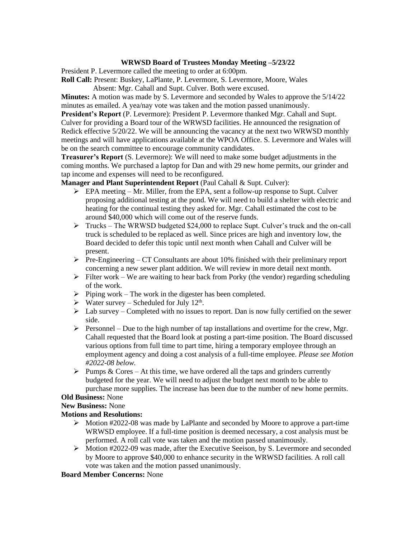### **WRWSD Board of Trustees Monday Meeting –5/23/22**

President P. Levermore called the meeting to order at 6:00pm.

**Roll Call:** Present: Buskey, LaPlante, P. Levermore, S. Levermore, Moore, Wales

Absent: Mgr. Cahall and Supt. Culver. Both were excused.

**Minutes:** A motion was made by S. Levermore and seconded by Wales to approve the 5/14/22 minutes as emailed. A yea/nay vote was taken and the motion passed unanimously.

**President's Report** (P. Levermore): President P. Levermore thanked Mgr. Cahall and Supt. Culver for providing a Board tour of the WRWSD facilities. He announced the resignation of Redick effective 5/20/22. We will be announcing the vacancy at the next two WRWSD monthly meetings and will have applications available at the WPOA Office. S. Levermore and Wales will be on the search committee to encourage community candidates.

**Treasurer's Report** (S. Levermore): We will need to make some budget adjustments in the coming months. We purchased a laptop for Dan and with 29 new home permits, our grinder and tap income and expenses will need to be reconfigured.

**Manager and Plant Superintendent Report** (Paul Cahall & Supt. Culver):

- $\triangleright$  EPA meeting Mr. Miller, from the EPA, sent a follow-up response to Supt. Culver proposing additional testing at the pond. We will need to build a shelter with electric and heating for the continual testing they asked for. Mgr. Cahall estimated the cost to be around \$40,000 which will come out of the reserve funds.
- $\triangleright$  Trucks The WRWSD budgeted \$24,000 to replace Supt. Culver's truck and the on-call truck is scheduled to be replaced as well. Since prices are high and inventory low, the Board decided to defer this topic until next month when Cahall and Culver will be present.
- $\triangleright$  Pre-Engineering CT Consultants are about 10% finished with their preliminary report concerning a new sewer plant addition. We will review in more detail next month.
- ➢ Filter work We are waiting to hear back from Porky (the vendor) regarding scheduling of the work.
- $\triangleright$  Piping work The work in the digester has been completed.
- $\triangleright$  Water survey Scheduled for July 12<sup>th</sup>.
- $\triangleright$  Lab survey Completed with no issues to report. Dan is now fully certified on the sewer side.
- $\triangleright$  Personnel Due to the high number of tap installations and overtime for the crew, Mgr. Cahall requested that the Board look at posting a part-time position. The Board discussed various options from full time to part time, hiring a temporary employee through an employment agency and doing a cost analysis of a full-time employee. *Please see Motion #2022-08 below.*
- $\triangleright$  Pumps & Cores At this time, we have ordered all the taps and grinders currently budgeted for the year. We will need to adjust the budget next month to be able to purchase more supplies. The increase has been due to the number of new home permits.

### **Old Business:** None

# **New Business:** None

### **Motions and Resolutions:**

- $\triangleright$  Motion #2022-08 was made by LaPlante and seconded by Moore to approve a part-time WRWSD employee. If a full-time position is deemed necessary, a cost analysis must be performed. A roll call vote was taken and the motion passed unanimously.
- ➢ Motion #2022-09 was made, after the Executive Seeison, by S. Levermore and seconded by Moore to approve \$40,000 to enhance security in the WRWSD facilities. A roll call vote was taken and the motion passed unanimously.

## **Board Member Concerns:** None